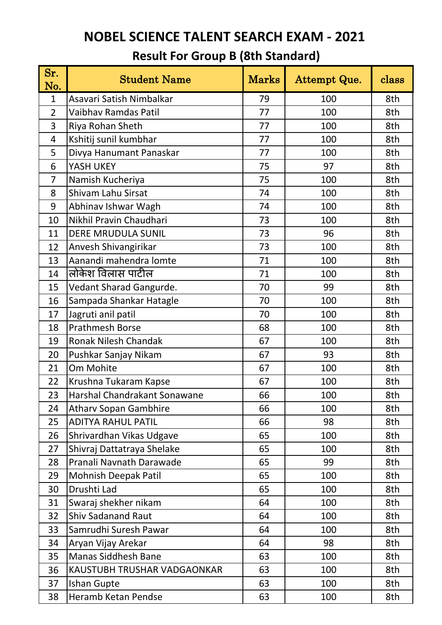| Sr.<br>No.     | <b>Student Name</b>          | <b>Marks</b> | Attempt Que. | class |
|----------------|------------------------------|--------------|--------------|-------|
| $\mathbf{1}$   | Asavari Satish Nimbalkar     | 79           | 100          | 8th   |
| $\overline{2}$ | Vaibhay Ramdas Patil         | 77           | 100          | 8th   |
| 3              | Riya Rohan Sheth             | 77           | 100          | 8th   |
| 4              | Kshitij sunil kumbhar        | 77           | 100          | 8th   |
| 5              | Divya Hanumant Panaskar      | 77           | 100          | 8th   |
| 6              | YASH UKEY                    | 75           | 97           | 8th   |
| 7              | Namish Kucheriya             | 75           | 100          | 8th   |
| 8              | Shivam Lahu Sirsat           | 74           | 100          | 8th   |
| 9              | Abhinav Ishwar Wagh          | 74           | 100          | 8th   |
| 10             | Nikhil Pravin Chaudhari      | 73           | 100          | 8th   |
| 11             | <b>DERE MRUDULA SUNIL</b>    | 73           | 96           | 8th   |
| 12             | Anvesh Shivangirikar         | 73           | 100          | 8th   |
| 13             | Aanandi mahendra lomte       | 71           | 100          | 8th   |
| 14             | लोकेश विलास पाटील            | 71           | 100          | 8th   |
| 15             | Vedant Sharad Gangurde.      | 70           | 99           | 8th   |
| 16             | Sampada Shankar Hatagle      | 70           | 100          | 8th   |
| 17             | Jagruti anil patil           | 70           | 100          | 8th   |
| 18             | Prathmesh Borse              | 68           | 100          | 8th   |
| 19             | Ronak Nilesh Chandak         | 67           | 100          | 8th   |
| 20             | Pushkar Sanjay Nikam         | 67           | 93           | 8th   |
| 21             | Om Mohite                    | 67           | 100          | 8th   |
| 22             | Krushna Tukaram Kapse        | 67           | 100          | 8th   |
| 23             | Harshal Chandrakant Sonawane | 66           | 100          | 8th   |
| 24             | <b>Atharv Sopan Gambhire</b> | 66           | 100          | 8th   |
| 25             | <b>ADITYA RAHUL PATIL</b>    | 66           | 98           | 8th   |
| 26             | Shrivardhan Vikas Udgave     | 65           | 100          | 8th   |
| 27             | Shivraj Dattatraya Shelake   | 65           | 100          | 8th   |
| 28             | Pranali Navnath Darawade     | 65           | 99           | 8th   |
| 29             | <b>Mohnish Deepak Patil</b>  | 65           | 100          | 8th   |
| 30             | Drushti Lad                  | 65           | 100          | 8th   |
| 31             | Swaraj shekher nikam         | 64           | 100          | 8th   |
| 32             | <b>Shiv Sadanand Raut</b>    | 64           | 100          | 8th   |
| 33             | Samrudhi Suresh Pawar        | 64           | 100          | 8th   |
| 34             | Aryan Vijay Arekar           | 64           | 98           | 8th   |
| 35             | <b>Manas Siddhesh Bane</b>   | 63           | 100          | 8th   |
| 36             | KAUSTUBH TRUSHAR VADGAONKAR  | 63           | 100          | 8th   |
| 37             | Ishan Gupte                  | 63           | 100          | 8th   |
| 38             | Heramb Ketan Pendse          | 63           | 100          | 8th   |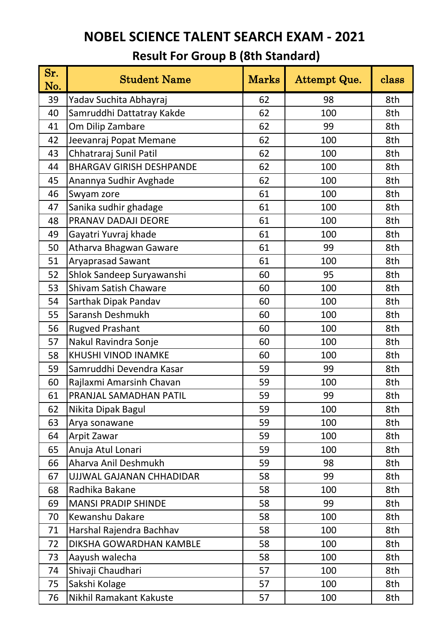| Sr.<br>No. | <b>Student Name</b>             | Marks | Attempt Que. | class |
|------------|---------------------------------|-------|--------------|-------|
| 39         | Yadav Suchita Abhayraj          | 62    | 98           | 8th   |
| 40         | Samruddhi Dattatray Kakde       | 62    | 100          | 8th   |
| 41         | Om Dilip Zambare                | 62    | 99           | 8th   |
| 42         | Jeevanraj Popat Memane          | 62    | 100          | 8th   |
| 43         | Chhatraraj Sunil Patil          | 62    | 100          | 8th   |
| 44         | <b>BHARGAV GIRISH DESHPANDE</b> | 62    | 100          | 8th   |
| 45         | Anannya Sudhir Avghade          | 62    | 100          | 8th   |
| 46         | Swyam zore                      | 61    | 100          | 8th   |
| 47         | Sanika sudhir ghadage           | 61    | 100          | 8th   |
| 48         | PRANAV DADAJI DEORE             | 61    | 100          | 8th   |
| 49         | Gayatri Yuvraj khade            | 61    | 100          | 8th   |
| 50         | Atharva Bhagwan Gaware          | 61    | 99           | 8th   |
| 51         | <b>Aryaprasad Sawant</b>        | 61    | 100          | 8th   |
| 52         | Shlok Sandeep Suryawanshi       | 60    | 95           | 8th   |
| 53         | <b>Shivam Satish Chaware</b>    | 60    | 100          | 8th   |
| 54         | Sarthak Dipak Pandav            | 60    | 100          | 8th   |
| 55         | Saransh Deshmukh                | 60    | 100          | 8th   |
| 56         | <b>Rugved Prashant</b>          | 60    | 100          | 8th   |
| 57         | Nakul Ravindra Sonje            | 60    | 100          | 8th   |
| 58         | <b>KHUSHI VINOD INAMKE</b>      | 60    | 100          | 8th   |
| 59         | Samruddhi Devendra Kasar        | 59    | 99           | 8th   |
| 60         | Rajlaxmi Amarsinh Chavan        | 59    | 100          | 8th   |
| 61         | PRANJAL SAMADHAN PATIL          | 59    | 99           | 8th   |
| 62         | Nikita Dipak Bagul              | 59    | 100          | 8th   |
| 63         | Arya sonawane                   | 59    | 100          | 8th   |
| 64         | Arpit Zawar                     | 59    | 100          | 8th   |
| 65         | Anuja Atul Lonari               | 59    | 100          | 8th   |
| 66         | Aharva Anil Deshmukh            | 59    | 98           | 8th   |
| 67         | UJJWAL GAJANAN CHHADIDAR        | 58    | 99           | 8th   |
| 68         | Radhika Bakane                  | 58    | 100          | 8th   |
| 69         | <b>MANSI PRADIP SHINDE</b>      | 58    | 99           | 8th   |
| 70         | <b>Kewanshu Dakare</b>          | 58    | 100          | 8th   |
| 71         | Harshal Rajendra Bachhav        | 58    | 100          | 8th   |
| 72         | DIKSHA GOWARDHAN KAMBLE         | 58    | 100          | 8th   |
| 73         | Aayush walecha                  | 58    | 100          | 8th   |
| 74         | Shivaji Chaudhari               | 57    | 100          | 8th   |
| 75         | Sakshi Kolage                   | 57    | 100          | 8th   |
| 76         | Nikhil Ramakant Kakuste         | 57    | 100          | 8th   |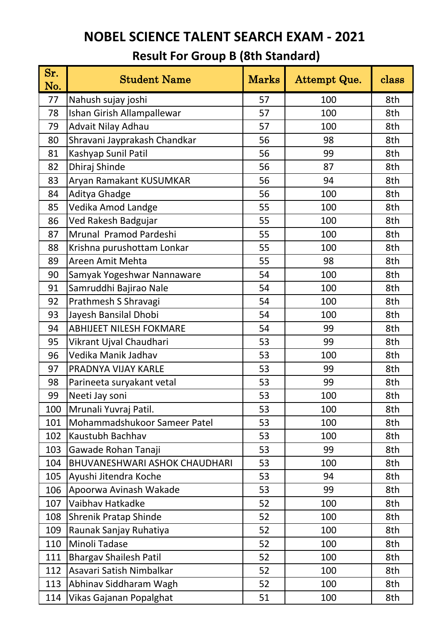| Sr.<br>No. | <b>Student Name</b>                  | Marks | Attempt Que. | class |
|------------|--------------------------------------|-------|--------------|-------|
| 77         | Nahush sujay joshi                   | 57    | 100          | 8th   |
| 78         | Ishan Girish Allampallewar           | 57    | 100          | 8th   |
| 79         | Advait Nilay Adhau                   | 57    | 100          | 8th   |
| 80         | Shravani Jayprakash Chandkar         | 56    | 98           | 8th   |
| 81         | Kashyap Sunil Patil                  | 56    | 99           | 8th   |
| 82         | Dhiraj Shinde                        | 56    | 87           | 8th   |
| 83         | Aryan Ramakant KUSUMKAR              | 56    | 94           | 8th   |
| 84         | Aditya Ghadge                        | 56    | 100          | 8th   |
| 85         | Vedika Amod Landge                   | 55    | 100          | 8th   |
| 86         | Ved Rakesh Badgujar                  | 55    | 100          | 8th   |
| 87         | Mrunal Pramod Pardeshi               | 55    | 100          | 8th   |
| 88         | Krishna purushottam Lonkar           | 55    | 100          | 8th   |
| 89         | Areen Amit Mehta                     | 55    | 98           | 8th   |
| 90         | Samyak Yogeshwar Nannaware           | 54    | 100          | 8th   |
| 91         | Samruddhi Bajirao Nale               | 54    | 100          | 8th   |
| 92         | Prathmesh S Shravagi                 | 54    | 100          | 8th   |
| 93         | Jayesh Bansilal Dhobi                | 54    | 100          | 8th   |
| 94         | <b>ABHIJEET NILESH FOKMARE</b>       | 54    | 99           | 8th   |
| 95         | Vikrant Ujval Chaudhari              | 53    | 99           | 8th   |
| 96         | Vedika Manik Jadhav                  | 53    | 100          | 8th   |
| 97         | PRADNYA VIJAY KARLE                  | 53    | 99           | 8th   |
| 98         | Parineeta suryakant vetal            | 53    | 99           | 8th   |
| 99         | Neeti Jay soni                       | 53    | 100          | 8th   |
| 100        | Mrunali Yuvraj Patil.                | 53    | 100          | 8th   |
| 101        | Mohammadshukoor Sameer Patel         | 53    | 100          | 8th   |
| 102        | Kaustubh Bachhav                     | 53    | 100          | 8th   |
| 103        | Gawade Rohan Tanaji                  | 53    | 99           | 8th   |
| 104        | <b>BHUVANESHWARI ASHOK CHAUDHARI</b> | 53    | 100          | 8th   |
| 105        | Ayushi Jitendra Koche                | 53    | 94           | 8th   |
| 106        | Apoorwa Avinash Wakade               | 53    | 99           | 8th   |
| 107        | Vaibhav Hatkadke                     | 52    | 100          | 8th   |
| 108        | <b>Shrenik Pratap Shinde</b>         | 52    | 100          | 8th   |
| 109        | Raunak Sanjay Ruhatiya               | 52    | 100          | 8th   |
| 110        | Minoli Tadase                        | 52    | 100          | 8th   |
| 111        | <b>Bhargav Shailesh Patil</b>        | 52    | 100          | 8th   |
| 112        | Asavari Satish Nimbalkar             | 52    | 100          | 8th   |
| 113        | Abhinav Siddharam Wagh               | 52    | 100          | 8th   |
| 114        | Vikas Gajanan Popalghat              | 51    | 100          | 8th   |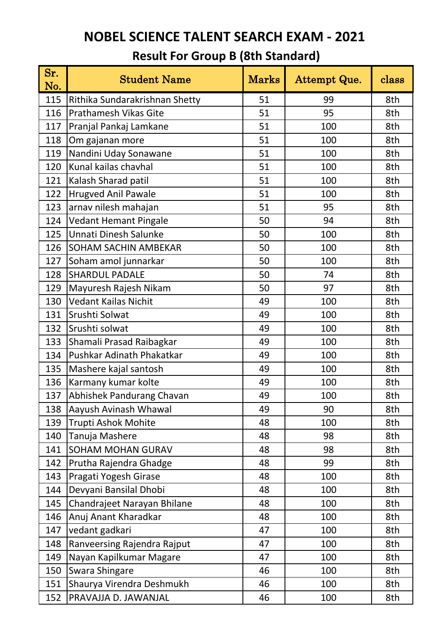| Sr.<br>No. | <b>Student Name</b>            | <b>Marks</b> | Attempt Que. | class |
|------------|--------------------------------|--------------|--------------|-------|
| 115        | Rithika Sundarakrishnan Shetty | 51           | 99           | 8th   |
| 116        | <b>Prathamesh Vikas Gite</b>   | 51           | 95           | 8th   |
| 117        | Pranjal Pankaj Lamkane         | 51           | 100          | 8th   |
| 118        | Om gajanan more                | 51           | 100          | 8th   |
| 119        | Nandini Uday Sonawane          | 51           | 100          | 8th   |
| 120        | Kunal kailas chavhal           | 51           | 100          | 8th   |
| 121        | Kalash Sharad patil            | 51           | 100          | 8th   |
| 122        | <b>Hrugved Anil Pawale</b>     | 51           | 100          | 8th   |
| 123        | arnav nilesh mahajan           | 51           | 95           | 8th   |
| 124        | <b>Vedant Hemant Pingale</b>   | 50           | 94           | 8th   |
| 125        | Unnati Dinesh Salunke          | 50           | 100          | 8th   |
| 126        | <b>SOHAM SACHIN AMBEKAR</b>    | 50           | 100          | 8th   |
| 127        | Soham amol junnarkar           | 50           | 100          | 8th   |
| 128        | <b>SHARDUL PADALE</b>          | 50           | 74           | 8th   |
| 129        | Mayuresh Rajesh Nikam          | 50           | 97           | 8th   |
| 130        | <b>Vedant Kailas Nichit</b>    | 49           | 100          | 8th   |
| 131        | Srushti Solwat                 | 49           | 100          | 8th   |
| 132        | Srushti solwat                 | 49           | 100          | 8th   |
| 133        | Shamali Prasad Raibagkar       | 49           | 100          | 8th   |
| 134        | Pushkar Adinath Phakatkar      | 49           | 100          | 8th   |
| 135        | Mashere kajal santosh          | 49           | 100          | 8th   |
| 136        | Karmany kumar kolte            | 49           | 100          | 8th   |
| 137        | Abhishek Pandurang Chavan      | 49           | 100          | 8th   |
| 138        | Aayush Avinash Whawal          | 49           | 90           | 8th   |
| 139        | Trupti Ashok Mohite            | 48           | 100          | 8th   |
| 140        | Tanuja Mashere                 | 48           | 98           | 8th   |
| 141        | SOHAM MOHAN GURAV              | 48           | 98           | 8th   |
| 142        | Prutha Rajendra Ghadge         | 48           | 99           | 8th   |
| 143        | Pragati Yogesh Girase          | 48           | 100          | 8th   |
| 144        | Devyani Bansilal Dhobi         | 48           | 100          | 8th   |
| 145        | Chandrajeet Narayan Bhilane    | 48           | 100          | 8th   |
| 146        | Anuj Anant Kharadkar           | 48           | 100          | 8th   |
| 147        | vedant gadkari                 | 47           | 100          | 8th   |
| 148        | Ranveersing Rajendra Rajput    | 47           | 100          | 8th   |
| 149        | Nayan Kapilkumar Magare        | 47           | 100          | 8th   |
| 150        | Swara Shingare                 | 46           | 100          | 8th   |
| 151        | Shaurya Virendra Deshmukh      | 46           | 100          | 8th   |
| 152        | PRAVAJJA D. JAWANJAL           | 46           | 100          | 8th   |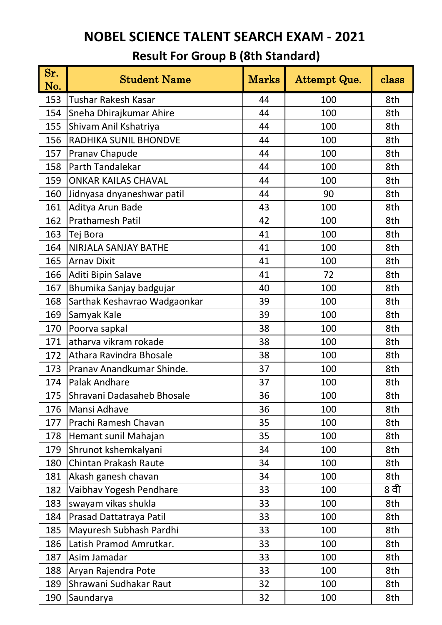| Sr.<br>No. | <b>Student Name</b>          | <b>Marks</b> | Attempt Que. | class |
|------------|------------------------------|--------------|--------------|-------|
| 153        | <b>Tushar Rakesh Kasar</b>   | 44           | 100          | 8th   |
| 154        | Sneha Dhirajkumar Ahire      | 44           | 100          | 8th   |
| 155        | Shivam Anil Kshatriya        | 44           | 100          | 8th   |
| 156        | RADHIKA SUNIL BHONDVE        | 44           | 100          | 8th   |
| 157        | Pranav Chapude               | 44           | 100          | 8th   |
| 158        | Parth Tandalekar             | 44           | 100          | 8th   |
| 159        | <b>ONKAR KAILAS CHAVAL</b>   | 44           | 100          | 8th   |
| 160        | Jidnyasa dnyaneshwar patil   | 44           | 90           | 8th   |
| 161        | Aditya Arun Bade             | 43           | 100          | 8th   |
| 162        | Prathamesh Patil             | 42           | 100          | 8th   |
| 163        | Tej Bora                     | 41           | 100          | 8th   |
| 164        | NIRJALA SANJAY BATHE         | 41           | 100          | 8th   |
| 165        | <b>Arnav Dixit</b>           | 41           | 100          | 8th   |
| 166        | Aditi Bipin Salave           | 41           | 72           | 8th   |
| 167        | Bhumika Sanjay badgujar      | 40           | 100          | 8th   |
| 168        | Sarthak Keshavrao Wadgaonkar | 39           | 100          | 8th   |
| 169        | Samyak Kale                  | 39           | 100          | 8th   |
| 170        | Poorva sapkal                | 38           | 100          | 8th   |
| 171        | atharva vikram rokade        | 38           | 100          | 8th   |
| 172        | Athara Ravindra Bhosale      | 38           | 100          | 8th   |
| 173        | Pranav Anandkumar Shinde.    | 37           | 100          | 8th   |
| 174        | Palak Andhare                | 37           | 100          | 8th   |
| 175        | Shravani Dadasaheb Bhosale   | 36           | 100          | 8th   |
| 176        | Mansi Adhave                 | 36           | 100          | 8th   |
| 177        | Prachi Ramesh Chavan         | 35           | 100          | 8th   |
| 178        | Hemant sunil Mahajan         | 35           | 100          | 8th   |
| 179        | Shrunot kshemkalyani         | 34           | 100          | 8th   |
| 180        | Chintan Prakash Raute        | 34           | 100          | 8th   |
| 181        | Akash ganesh chavan          | 34           | 100          | 8th   |
| 182        | Vaibhav Yogesh Pendhare      | 33           | 100          | 8 वी  |
| 183        | swayam vikas shukla          | 33           | 100          | 8th   |
| 184        | Prasad Dattatraya Patil      | 33           | 100          | 8th   |
| 185        | Mayuresh Subhash Pardhi      | 33           | 100          | 8th   |
| 186        | Latish Pramod Amrutkar.      | 33           | 100          | 8th   |
| 187        | Asim Jamadar                 | 33           | 100          | 8th   |
| 188        | Aryan Rajendra Pote          | 33           | 100          | 8th   |
| 189        | Shrawani Sudhakar Raut       | 32           | 100          | 8th   |
| 190        | Saundarya                    | 32           | 100          | 8th   |